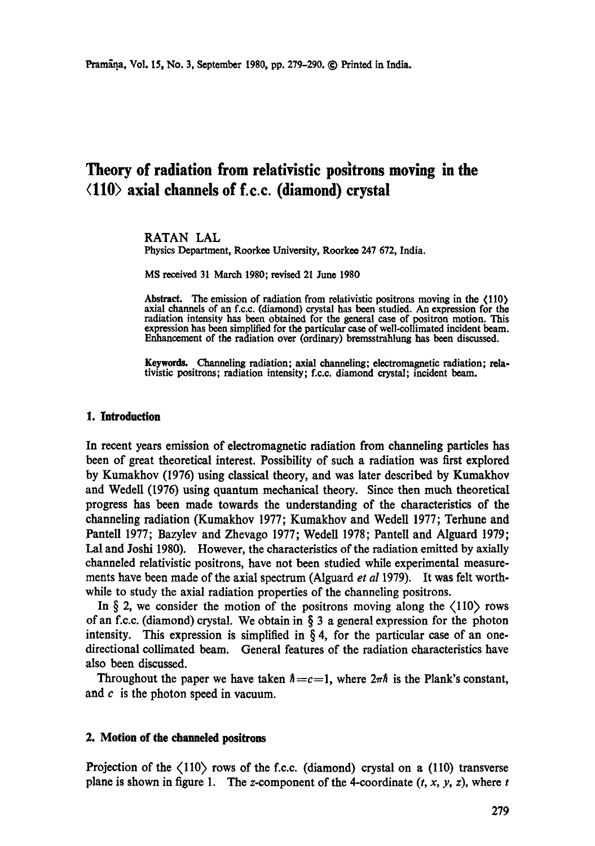# Theory of radiation from relativistic positrons moving in the **<110) axial channels of f.c.c. (diamond) crystal**

#### RATAN LAL

Physics Department, Roorkee University, Roorkee 247 672, India.

MS received 31 March 1980; revised 21 June 1980

Abstract. The emission of radiation from relativistic positrons moving in the (110) axial channels of an f.c.c. (diamond) crystal has been studied. An expression for the radiation intensity has been obtained for the general ease of positron motion. This expression has been simplified for the particular ease of well-collimated incident beam. Enhancement of the radiation over (ordinary) bremsstrahlung has been discussed.

**Keywords.** Channeling radiation; axial channeling; electromagnetic radiation; relativistic positrons; radiation intensity; f.c.c, diamond crystal; incident beam.

### **1. Introduction**

In recent years emission of electromagnetic radiation from channeling particles has been of great theoretical interest. Possibility of such a radiation was first explored by Kumakhov (1976) using classical theory, and was later described by Kumakhov and Wedell (1976) using quantum mechanical theory. Since then much theoretical progress has been made towards the understanding of the characteristics of the channeling radiation (Kumakhov 1977; Kumakhov and WedeU 1977; Terhune and Pantell 1977; Bazylev and Zhevago 1977; Wedell 1978; Pantell and Alguard 1979; Lal and Joshi 1980). However, the characteristics of the radiation emitted by axially channeled relativistic positrons, have not been studied while experimental measurements have been made of the axial spectrum (Alguard *et al* 1979). It was felt worthwhile to study the axial radiation properties of the channeling positrons.

In  $\S$  2, we consider the motion of the positrons moving along the  $\langle 110 \rangle$  rows of an f.c.c. (diamond) crystal. We obtain in  $\S$  3 a general expression for the photon intensity. This expression is simplified in  $\S 4$ , for the particular case of an onedirectional collimated beam. General features of the radiation characteristics have also been discussed.

Throughout the paper we have taken  $\hbar = c = 1$ , where  $2\pi\hbar$  is the Plank's constant, and c is the photon speed in vacuum.

### **2. Motion of the channeled positrons**

Projection of the  $\langle 110 \rangle$  rows of the f.c.c. (diamond) crystal on a (110) transverse plane is shown in figure 1. The z-component of the 4-coordinate  $(t, x, y, z)$ , where t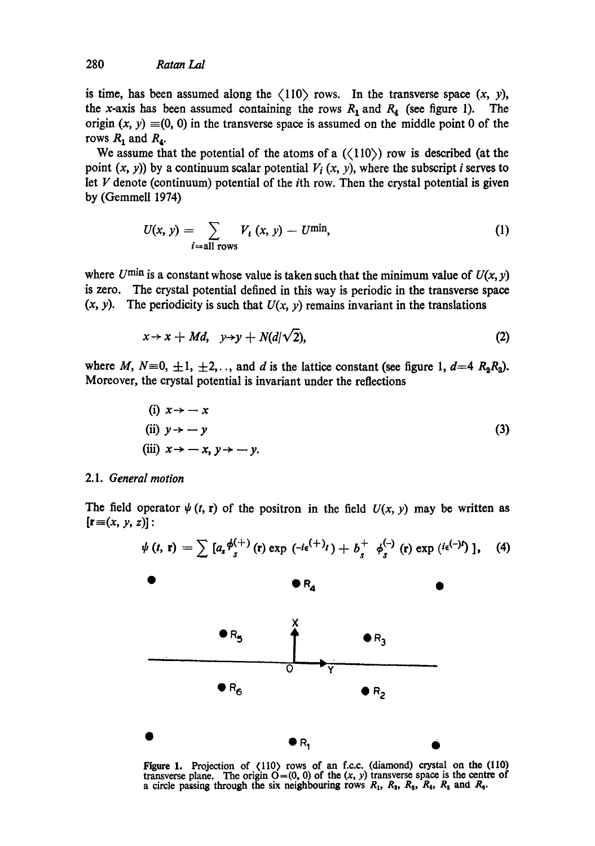is time, has been assumed along the  $\langle 110 \rangle$  rows. In the transverse space  $(x, y)$ , the x-axis has been assumed containing the rows  $R_1$  and  $R_4$  (see figure 1). The origin  $(x, y) \equiv (0, 0)$  in the transverse space is assumed on the middle point 0 of the rows  $R_1$  and  $R_4$ .

We assume that the potential of the atoms of a  $(\langle 110 \rangle)$  row is described (at the point  $(x, y)$  by a continuum scalar potential  $V_i(x, y)$ , where the subscript i serves to let  $V$  denote (continuum) potential of the *i*th row. Then the crystal potential is given by (Gemmell 1974)

$$
U(x, y) = \sum_{i=\text{all rows}} V_i(x, y) - U^{\text{min}},
$$
 (1)

where  $U^{\min}$  is a constant whose value is taken such that the minimum value of  $U(x, y)$ is zero. The crystal potential defined in this way is periodic in the transverse space  $(x, y)$ . The periodicity is such that  $U(x, y)$  remains invariant in the translations

$$
x \to x + Md, \quad y \to y + N(d/\sqrt{2}), \tag{2}
$$

where M,  $N=0, \pm 1, \pm 2, \ldots$ , and d is the lattice constant (see figure 1,  $d=4$   $R_2R_3$ ). Moreover, the crystal potential is invariant under the reflections

(i) 
$$
x \rightarrow -x
$$
  
\n(ii)  $y \rightarrow -y$   
\n(iii)  $x \rightarrow -x, y \rightarrow -y$ . (3)

#### 2.1. *General motion*

The field operator  $\psi$  (*t*, **r**) of the positron in the field  $U(x, y)$  may be written as  $[\mathbf{r} \equiv (x, y, z)]$ :



Figure 1. Projection of  $\langle 110 \rangle$  rows of an f.c.c. (diamond) crystal on the  $(110)$ transverse plane. The origin  $O=(0, 0)$  of the  $(x, y)$  transverse space is the centre of a circle passing through the six neighbouring rows  $R_1$ ,  $R_2$ ,  $R_3$ ,  $R_4$ ,  $R_5$  and  $R_6$ .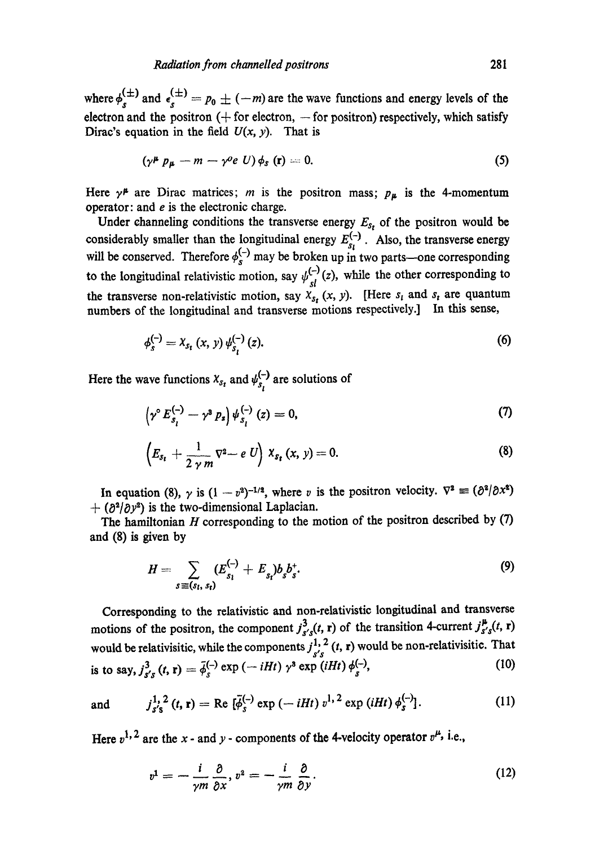where  $\phi_s^{(\pm)}$  and  $\epsilon_s^{(\pm)} = p_0 \pm (-m)$  are the wave functions and energy levels of the electron and the positron  $(+)$  for electron,  $-$  for positron) respectively, which satisfy Dirac's equation in the field  $U(x, y)$ . That is

$$
(\gamma^{\mu} p_{\mu} - m - \gamma^{\circ} e U) \phi_s (\mathbf{r}) = 0. \tag{5}
$$

Here  $\gamma^{\mu}$  are Dirac matrices; *m* is the positron mass;  $p_{\mu}$  is the 4-momentum operator: and  $e$  is the electronic charge.

Under channeling conditions the transverse energy  $E_{s_t}$  of the positron would be considerably smaller than the longitudinal energy  $E_{\alpha}^{(-)}$ . Also, the transverse energy will be conserved. Therefore  $\phi_s^{-1}$  may be broken up in two parts—one corresponding to the longitudinal relativistic motion, say  $\psi_{sl}^{(-)}(z)$ , while the other corresponding to the transverse non-relativistic motion, say  $\overline{X}_{s_t}(x, y)$ . [Here  $s_t$  and  $s_t$  are quantum numbers of the longitudinal and transverse motions respectively.] In this sense,

$$
\phi_s^{(-)} = X_{s_t}(x, y) \psi_{s_t}^{(-)}(z). \tag{6}
$$

Here the wave functions  $x_{s_t}$  and  $\psi_{s_t}^{(-)}$  are solutions of

$$
\left(\gamma^{\circ} E_{s_l}^{(-)} - \gamma^3 P_s\right) \psi_{s_l}^{(-)}(z) = 0, \tag{7}
$$

$$
\left(E_{s_t}+\frac{1}{2\gamma m}\nabla^2-e U\right)X_{s_t}(x, y)=0. \hspace{1cm} (8)
$$

In equation (8),  $\gamma$  is  $(1 - v^2)^{-1/2}$ , where v is the positron velocity.  $\nabla^2 \equiv (\partial^2/\partial x^2)$  $+$  ( $\partial^2/\partial y^2$ ) is the two-dimensional Laplacian.

The hamiltonian  $H$  corresponding to the motion of the positron described by  $(7)$ and (8) is given by

$$
H = \sum_{s \equiv (s_i, s_i)} (E_{s_i}^{(-)} + E_{s_i}) b_s b_s^+.
$$
 (9)

Corresponding to the relativistic and non-relativistic longitudinal and transverse motions of the positron, the component  $j_{s's}^3(t, r)$  of the transition 4-current  $j_{s's}^{\mu}(t, r)$ would be relativisitic, while the components  $j^{1, 2}_{s's}$  (t, r) would be non-relativisitic. That is to say,  $j_{s's}^3(t, r) = \bar{\phi}_s^{(-)} \exp(-iHt) \gamma^3 \exp(iHt) \phi_s^{(-)},$  (10)

and 
$$
j_{s's}^{1,2}(t, r) = \text{Re} \left[ \bar{\phi}_s^{(-)} \exp (-iHt) v^{1,2} \exp (iHt) \phi_s^{(-)} \right].
$$
 (11)

Here  $v^{1,2}$  are the x - and y - components of the 4-velocity operator  $v^{\mu}$ , i.e.,

$$
v^1 = -\frac{i}{\gamma m} \frac{\partial}{\partial x}, v^2 = -\frac{i}{\gamma m} \frac{\partial}{\partial y}.
$$
 (12)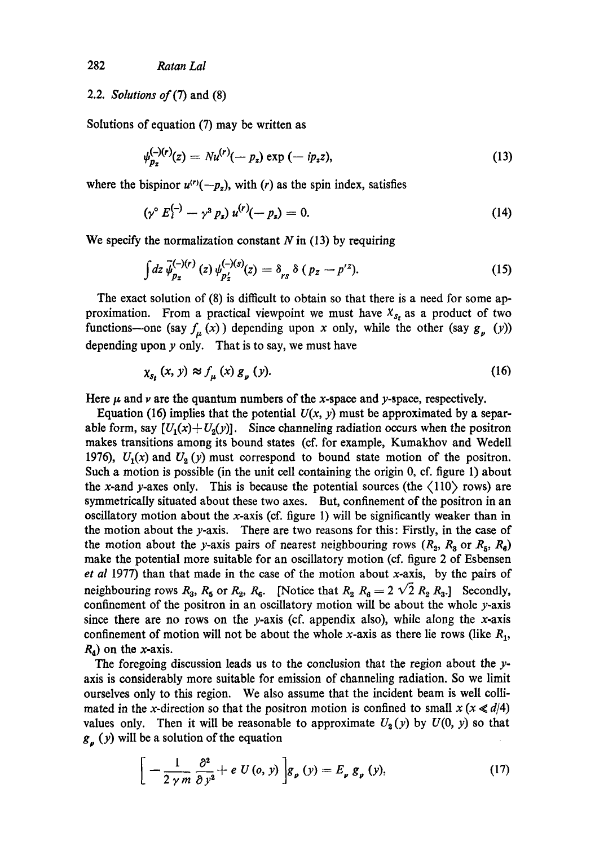## *2.2. Solutions 0]'(7)* and (8)

Solutions of equation (7) may be written as

$$
\psi_{p_z}^{(-)(r)}(z) = Nu^{(r)}(-p_z) \exp{(-ip_z z)}, \tag{13}
$$

where the bispinor  $u^{(r)}(-p_z)$ , with (*r*) as the spin index, satisfies

$$
(\gamma^{\circ} E_i^{(-)} - \gamma^3 p_z) u^{(r)}(-p_z) = 0. \qquad (14)
$$

We specify the normalization constant  $N$  in (13) by requiring

$$
\int dz \,\overline{\psi}_{p_z}^{(-)(r)}(z) \,\psi_{p'_z}^{(-)(s)}(z) = \delta_{rs} \,\delta \, (p_z - p'^z). \tag{15}
$$

The exact solution of (8) is difficult to obtain so that there is a need for some approximation. From a practical viewpoint we must have  $X_{s_t}$  as a product of two functions--one (say  $f_{\mu}(x)$ ) depending upon x only, while the other (say  $g_{\nu}(y)$ ) depending upon  $y$  only. That is to say, we must have

$$
\chi_{s_t}(x, y) \approx f_{\mu}(x) g_{\nu}(y). \tag{16}
$$

Here  $\mu$  and  $\nu$  are the quantum numbers of the x-space and y-space, respectively.

Equation (16) implies that the potential  $U(x, y)$  must be approximated by a separable form, say  $[U_1(x) + U_2(y)]$ . Since channeling radiation occurs when the positron makes transitions among its bound states (of. for example, Kumakhov and Wedell 1976),  $U_1(x)$  and  $U_2(y)$  must correspond to bound state motion of the positron. Such a motion is possible (in the unit cell containing the origin 0, cf. figure 1) about the x-and y-axes only. This is because the potential sources (the  $\langle 110 \rangle$  rows) are symmetrically situated about these two axes. But, confinement of the positron in an oscillatory motion about the x-axis (cf. figure 1) will be significantly weaker than in the motion about the  $y$ -axis. There are two reasons for this: Firstly, in the case of the motion about the y-axis pairs of nearest neighbouring rows  $(R_2, R_3$  or  $R_5, R_6)$ make the potential more suitable for an oscillatory motion (cf. figure 2 of Esbensen *et al* 1977) than that made in the case of the motion about x-axis, by the pairs of neighbouring rows  $R_3$ ,  $R_5$  or  $R_2$ ,  $R_6$ . [Notice that  $R_2$   $R_8 = 2\sqrt{2} R_2 R_3$ .] Secondly, confinement of the positron in an oscillatory motion will be about the whole y-axis since there are no rows on the y-axis (cf. appendix also), while along the x-axis confinement of motion will not be about the whole x-axis as there lie rows (like  $R_1$ ,  $R_4$ ) on the x-axis.

The foregoing discussion leads us to the conclusion that the region about the  $y$ axis is considerably more suitable for emission of channeling radiation. So we limit ourselves only to this region. We also assume that the incident beam is well collimated in the x-direction so that the positron motion is confined to small  $x (x \ll d/4)$ values only. Then it will be reasonable to approximate  $U_2(y)$  by  $U(0, y)$  so that  $g_p(y)$  will be a solution of the equation

$$
\left[ -\frac{1}{2\gamma m} \frac{\partial^2}{\partial y^2} + e U(o, y) \right] g_p(y) = E_p g_p(y), \tag{17}
$$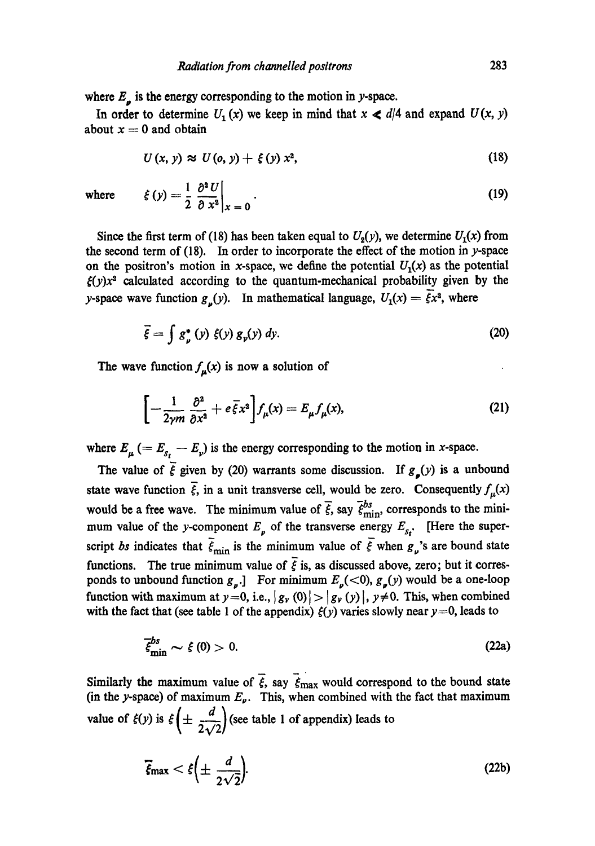where  $E_p$  is the energy corresponding to the motion in y-space.

In order to determine  $U_1(x)$  we keep in mind that  $x \le d/4$  and expand  $U(x, y)$ about  $x = 0$  and obtain

$$
U(x, y) \approx U(o, y) + \xi(y) x^2, \qquad (18)
$$

where 
$$
\xi(y) = \frac{1}{2} \left. \frac{\partial^2 U}{\partial x^2} \right|_{x=0}
$$
 (19)

Since the first term of (18) has been taken equal to  $U_2(y)$ , we determine  $U_1(x)$  from the second term of  $(18)$ . In order to incorporate the effect of the motion in y-space on the positron's motion in x-space, we define the potential  $U_1(x)$  as the potential  $f(y)x^2$  calculated according to the quantum-mechanical probability given by the y-space wave function  $g_{\nu}(y)$ . In mathematical language,  $U_1(x) = \overline{\xi}x^2$ , where

$$
\vec{\xi} = \int g_{\nu}^*(y) \xi(y) g_{\nu}(y) dy. \tag{20}
$$

The wave function  $f_{\mu}(x)$  is now a solution of

$$
\[-\frac{1}{2\gamma m}\frac{\partial^2}{\partial x^2} + e\,\overline{\xi}x^2\right]f_\mu(x) = E_\mu f_\mu(x),\tag{21}
$$

where  $E_{\mu} (= E_{s_t} - E_{\nu})$  is the energy corresponding to the motion in x-space.

The value of  $\overline{\xi}$  given by (20) warrants some discussion. If  $g_{\mu}(y)$  is a unbound state wave function  $\vec{\xi}$ , in a unit transverse cell, would be zero. Consequently  $f_{\mu}(x)$ would be a free wave. The minimum value of  $\vec{\xi}$ , say  $\vec{\xi}_{\text{min}}^{bs}$ , corresponds to the minimum value of the y-component  $E_{\nu}$  of the transverse energy  $E_{s_t}$ . [Here the superscript *bs* indicates that  $\bar{\xi}_{min}$  is the minimum value of  $\bar{\xi}$  when  $g_{\nu}$ 's are bound state functions. The true minimum value of  $\bar{\xi}$  is, as discussed above, zero; but it corresponds to unbound function  $g_{\nu}$ .] For minimum  $E_{\nu}(<0)$ ,  $g_{\nu}(y)$  would be a one-loop function with maximum at  $y=0$ , i.e.,  $|g_y(0)|>|g_y(y)|$ ,  $y\neq 0$ . This, when combined with the fact that (see table 1 of the appendix)  $\xi(y)$  varies slowly near y=0, leads to

$$
\overline{\xi}_{\min}^{bs} \sim \xi(0) > 0. \tag{22a}
$$

Similarly the maximum value of  $\zeta$ , say  $\zeta_{\text{max}}$  would correspond to the bound state (in the y-space) of maximum  $E_{\nu}$ . This, when combined with the fact that maximum value of  $f(y)$  is  $f\left(\pm \frac{d}{2\sqrt{2}}\right)$  (see table 1 of appendix) leads to

$$
\overline{\xi}_{\text{max}} < \xi \left( \pm \frac{d}{2\sqrt{2}} \right). \tag{22b}
$$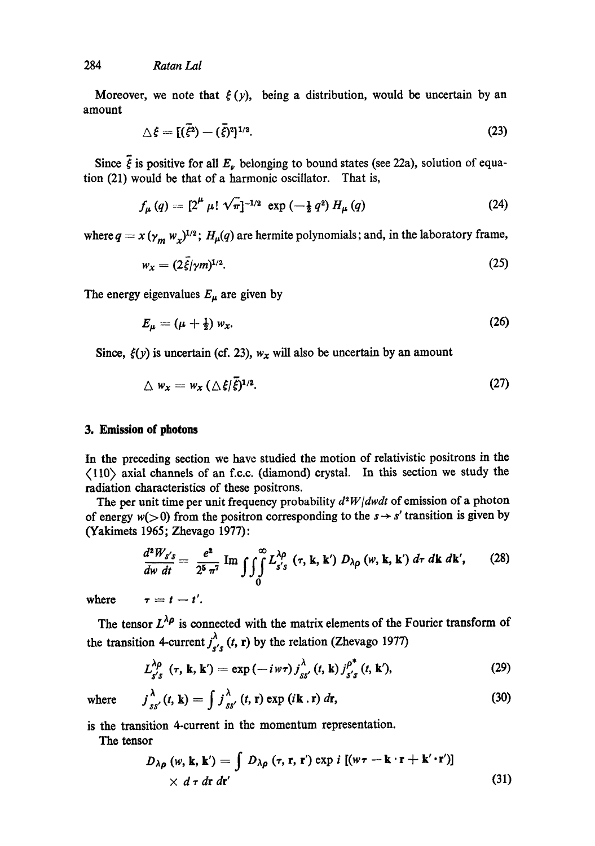284 *Ratan Lal* 

Moreover, we note that  $\xi(y)$ , being a distribution, would be uncertain by an amount

$$
\triangle \xi = [(\bar{\xi}^2) - (\bar{\xi})^2]^{1/2}.
$$
\n(23)

Since  $\bar{\xi}$  is positive for all  $E_{\nu}$  belonging to bound states (see 22a), solution of equation (21) would be that of a harmonic oscillator. That is,

$$
f_{\mu}(q) = [2^{\mu} \mu! \sqrt{\pi}]^{-1/2} \exp(-\frac{1}{2} q^2) H_{\mu}(q) \qquad (24)
$$

where  $q = x (\gamma_m w_x)^{1/2}$ ;  $H_\mu(q)$  are hermite polynomials; and, in the laboratory frame,

$$
w_x = (2\bar{\xi}/\gamma m)^{1/2}.\tag{25}
$$

The energy eigenvalues  $E_{\mu}$  are given by

$$
E_{\mu} = (\mu + \frac{1}{2}) w_x. \tag{26}
$$

Since,  $\xi(y)$  is uncertain (cf. 23),  $w_x$  will also be uncertain by an amount

$$
\triangle w_x = w_x \left( \triangle \xi / \overline{\xi} \right)^{1/2}.
$$
 (27)

#### **3. Emission of photons**

In the preceding section we have studied the motion of relativistic positrons in the (110) axial channels of an f.c.c. (diamond) crystal. In this section we study the radiation characteristics of these positrons.

The per unit time per unit frequency probability *d2W/dwdt* of emission of a photon of energy  $w(>0)$  from the positron corresponding to the  $s \rightarrow s'$  transition is given by (Yakimets 1965; Zhevago 1977):

$$
\frac{d^2W_{s's}}{dw\ dt} = \frac{e^2}{2^5\ \pi^7} \operatorname{Im} \int \int_0^\infty L_{s's}^{\lambda \rho}(\tau, \mathbf{k}, \mathbf{k}') \ D_{\lambda \rho}(\omega, \mathbf{k}, \mathbf{k}') \ d\tau \ d\mathbf{k} \ d\mathbf{k}', \qquad (28)
$$

where  $\tau = t - t'$ .

The tensor  $L^{\lambda \rho}$  is connected with the matrix elements of the Fourier transform of the transition 4-current  $j_{s's}^{\lambda}(t, r)$  by the relation (Zhevago 1977)

$$
L_{s's}^{\lambda \rho}(\tau, \mathbf{k}, \mathbf{k}') = \exp(-i\omega \tau) j_{ss'}^{\lambda}(t, \mathbf{k}) j_{s's}^{\rho^*}(t, \mathbf{k}'), \qquad (29)
$$

where  $j_{ss'}^{\lambda}(t, \mathbf{k}) = \int j_{ss'}^{\lambda}(t, \mathbf{r}) \exp(i\mathbf{k} \cdot \mathbf{r}) d\mathbf{r},$  (30)

is the transition 4-current in the momentum representation.

The tensor

$$
D_{\lambda\rho}(w, \mathbf{k}, \mathbf{k}') = \int D_{\lambda\rho}(\tau, \mathbf{r}, \mathbf{r}') \exp i [(w\tau - \mathbf{k} \cdot \mathbf{r} + \mathbf{k}' \cdot \mathbf{r}')] \times d\tau dr dr'
$$
 (31)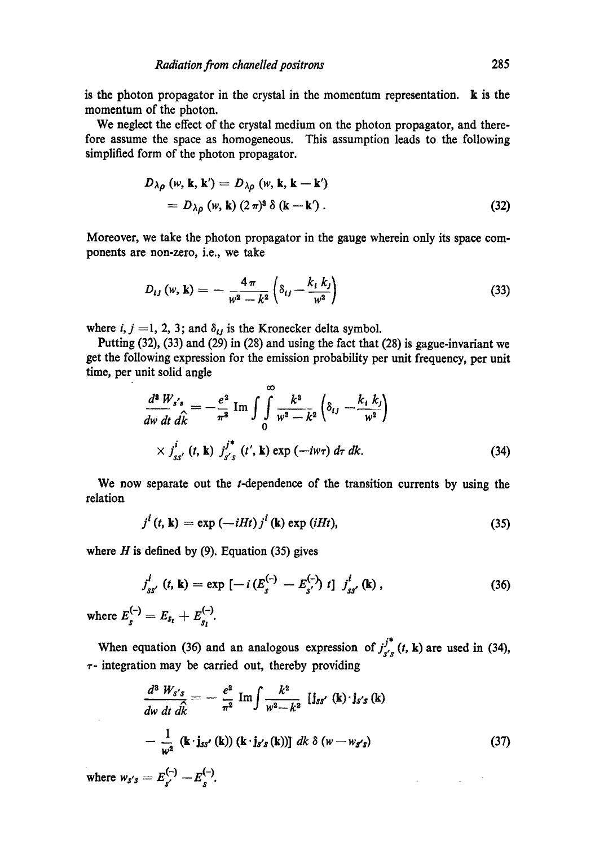is the photon propagator in the crystal in the momentum representation, k is the momentum of the photon.

We neglect the effect of the crystal medium on the photon propagator, and therefore assume the space as homogeneous. This assumption leads to the following simplified form of the photon propagator.

$$
D_{\lambda\rho} (w, \mathbf{k}, \mathbf{k}') = D_{\lambda\rho} (w, \mathbf{k}, \mathbf{k} - \mathbf{k}')
$$
  
= 
$$
D_{\lambda\rho} (w, \mathbf{k}) (2 \pi)^3 \delta (\mathbf{k} - \mathbf{k}').
$$
 (32)

Moreover, we take the photon propagator in the gauge wherein only its space components are non-zero, i.e., we take

$$
D_{ij}(w, \mathbf{k}) = -\frac{4\pi}{w^2 - k^2} \left( \delta_{ij} - \frac{k_i k_j}{w^2} \right)
$$
 (33)

where *i, j* = 1, 2, 3; and  $\delta_{ij}$  is the Kronecker delta symbol.

Putting (32), (33) and (29) in (28) and using the fact that (28) is gague-invariant we get the following expression for the emission probability per unit frequency, per unit time, per unit solid angle

 $\sim$ 

$$
\frac{d^3 W_{s's}}{dw dt d\hat{k}} = -\frac{e^2}{\pi^3} \operatorname{Im} \int \int_0^{\infty} \frac{k^2}{w^2 - k^2} \left( \delta_{ij} - \frac{k_1 k_j}{w^2} \right)
$$
  
 
$$
\times j_{ss'}^i(t, \mathbf{k}) j_{s's}^{j^*}(t', \mathbf{k}) \exp(-iw\tau) d\tau dk.
$$
 (34)

We now separate out the *t*-dependence of the transition currents by using the relation

$$
j^{i}(t, \mathbf{k}) = \exp(-iHt) j^{i}(\mathbf{k}) \exp(iHt), \qquad (35)
$$

where  $H$  is defined by (9). Equation (35) gives

$$
j_{ss'}^{i} (t, k) = \exp \left[ -i \left( E_s^{(-)} - E_{s'}^{(-)} \right) t \right] j_{ss'}^{i} (k) , \qquad (36)
$$

where  $E_s^{\prime} = E_{s_t} + E_{s_t}^{\prime}$ .

When equation (36) and an analogous expression of  $j_{s's}^{j*}$  (*t*, **k**) are used in (34),  $\tau$ - integration may be carried out, thereby providing

$$
\frac{d^3 W_{s's}}{dw dt d\hat{k}} = -\frac{e^2}{\pi^2} Im \int \frac{k^2}{w^2 - k^2} [j_{ss'}(\mathbf{k}) \cdot j_{s's}(\mathbf{k})
$$

$$
-\frac{1}{w^2} (\mathbf{k} \cdot j_{ss'}(\mathbf{k})) (\mathbf{k} \cdot j_{s's}(\mathbf{k}))] dk \delta (w - w_{s's})
$$
(37)

 $\mathcal{L}(\mathcal{A})$  and  $\mathcal{L}(\mathcal{A})$  and  $\mathcal{L}(\mathcal{A})$ 

where  $w_{s's} = E_{s'}^{\setminus} - E_{s'}^{\setminus}$ .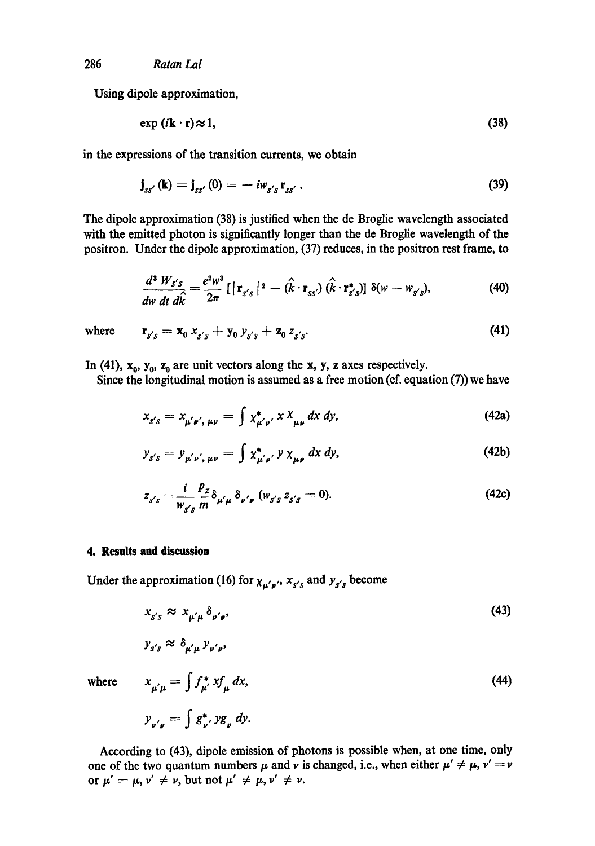Using dipole approximation,

$$
\exp(i\mathbf{k}\cdot\mathbf{r})\approx 1,\tag{38}
$$

in the expressions of the transition currents, we obtain

$$
\mathbf{j}_{ss'}(\mathbf{k}) = \mathbf{j}_{ss'}(0) = -i w_{s's} \mathbf{r}_{ss'}.
$$
 (39)

The dipole approximation (38) is justified when the de Broglie wavelength associated with the emitted photon is significantly longer than the de Broglie wavelength of the positron. Under the dipole approximation, (37) reduces, in the positron rest frame, to

$$
\frac{d^3 W_{s's}}{dw dt} \frac{d\hat{k}}{dt} = \frac{e^2 w^3}{2\pi} \left[ \left| \mathbf{r}_{s's} \right|^2 - (\hat{k} \cdot \mathbf{r}_{ss'}) (\hat{k} \cdot \mathbf{r}_{s's}^*) \right] \delta(w - w_{s's}), \tag{40}
$$

where 
$$
\mathbf{r}_{s's} = \mathbf{x}_0 \; x_{s's} + \mathbf{y}_0 \; y_{s's} + \mathbf{z}_0 \; z_{s's}
$$
. (41)

In (41),  $x_0$ ,  $y_0$ ,  $z_0$  are unit vectors along the x, y, z axes respectively.

Since the longitudinal motion is assumed as a free motion (cf. equation  $(7)$ ) we have

$$
x_{s's} = x_{\mu'\nu',\ \mu\nu} = \int x_{\mu'\nu'}^* x \, x_{\mu\nu} \, dx \, dy,\tag{42a}
$$

$$
y_{s's} = y_{\mu' \nu', \mu \nu} = \int \chi_{\mu' \nu'}^* y \, \chi_{\mu \nu} \, dx \, dy,\tag{42b}
$$

$$
z_{s's} = \frac{i}{w_{s's}} \frac{p_z}{m} \delta_{\mu' \mu} \delta_{\nu' \nu} (w_{s's} z_{s's} = 0).
$$
 (42c)

### **4. Results and discussion**

Under the approximation (16) for  $\chi_{\mu'\mu'}$ ,  $\chi_{s's}$  and  $y_{s's}$  become

$$
x_{s's} \approx x_{\mu'\mu} \, \delta_{\nu'\nu},\tag{43}
$$

$$
y_{s's} \approx \delta_{\mu'\mu} y_{\nu'\nu},
$$

where 
$$
x_{\mu'\mu} = \int f_{\mu'}^* x f_{\mu} dx,
$$

$$
y_{\nu'\mu} = \int g_{\nu'}^* y g_{\mu} dy.
$$
 (44)

According to (43), dipole emission of photons is possible when, at one time, only one of the two quantum numbers  $\mu$  and  $\nu$  is changed, i.e., when either  $\mu' \neq \mu$ ,  $\nu' = \nu$ or  $\mu' = \mu$ ,  $\nu' \neq \nu$ , but not  $\mu' \neq \mu$ ,  $\nu' \neq \nu$ .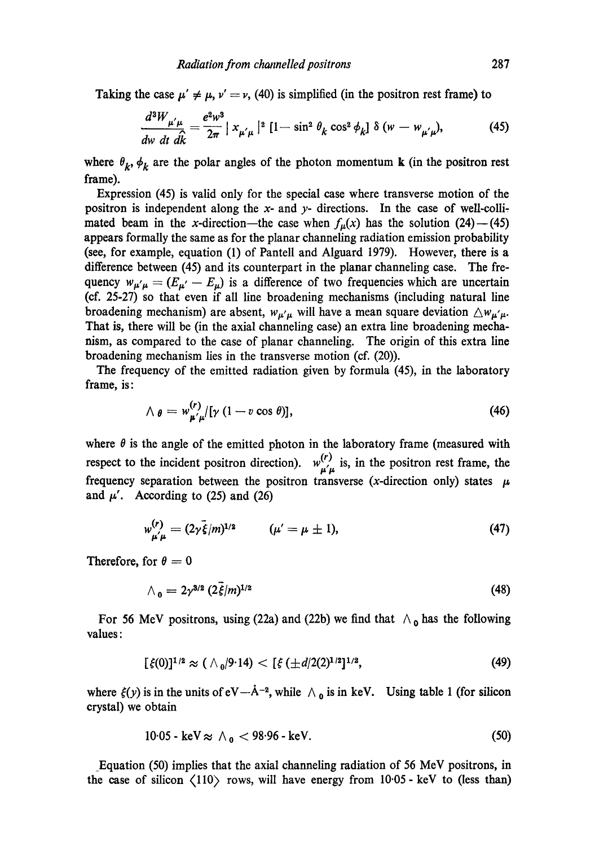Taking the case  $\mu' \neq \mu$ ,  $\nu' = \nu$ , (40) is simplified (in the positron rest frame) to

$$
\frac{d^3W_{\mu'\mu}}{dw\ dt\ d\hat{k}} = \frac{e^2w^3}{2\pi} |x_{\mu'\mu}|^2 [1 - \sin^2\theta_k \cos^2\phi_k] \ \delta(w - w_{\mu'\mu}), \tag{45}
$$

where  $\theta_k$ ,  $\phi_k$  are the polar angles of the photon momentum **k** (in the positron rest frame).

Expression (45) is valid only for the special case where transverse motion of the positron is independent along the x- and y- directions. In the case of well-collimated beam in the x-direction—the case when  $f_{\mu}(x)$  has the solution (24)--(45) appears formally the same as for the planar channeling radiation emission probability (see, for example, equation (1) of Pantell and Alguard 1979). However, there is a difference between (45) and its counterpart in the planar channeling case. The frequency  $w_{\mu'\mu} = (E_{\mu'} - E_{\mu})$  is a difference of two frequencies which are uncertain (of. 25-27) so that even if all line broadening mechanisms (including natural line broadening mechanism) are absent,  $w_{\mu'\mu}$  will have a mean square deviation  $\Delta w_{\mu'\mu}$ . That is, there will be (in the axial channeling case) an extra line broadening mechanism, as compared to the ease of planar channeling. The origin of this extra line broadening mechanism lies in the transverse motion (cf. (20)).

The frequency of the emitted radiation given by formula (45), in the laboratory frame, is:

$$
\wedge \; \theta = w_{\mu^{\prime} \mu}^{(r)} [ \gamma \; (1 - v \cos \theta) ], \tag{46}
$$

where  $\theta$  is the angle of the emitted photon in the laboratory frame (measured with respect to the incident positron direction).  $w_{\mu\mu}^{(r)}$  is, in the positron rest frame, the frequency separation between the positron transverse (x-direction only) states  $~\mu$ and  $\mu'$ . According to (25) and (26)

$$
w_{\mu'\mu}^{(r)} = (2\gamma \bar{\xi}/m)^{1/2} \qquad (\mu' = \mu \pm 1), \tag{47}
$$

Therefore, for  $\theta = 0$ 

$$
\wedge_0 = 2\gamma^{3/2} \left(2\dot{\xi}/m\right)^{1/2} \tag{48}
$$

For 56 MeV positrons, using (22a) and (22b) we find that  $\Lambda_0$  has the following values:

$$
[\xi(0)]^{1/2} \approx (\wedge_0/9.14) < [\xi(\pm d/2(2)^{1/2})^{1/2}, \qquad (49)
$$

where  $\xi(y)$  is in the units of  $eV - A^{-2}$ , while  $\wedge_0$  is in keV. Using table 1 (for silicon crystal) we obtain

$$
10.05 \cdot \text{keV} \approx \Lambda_0 < 98.96 \cdot \text{keV}.\tag{50}
$$

.Equation (50) implies that the axial channeling radiation of 56 MeV positrons, in the case of silicon  $\langle 110 \rangle$  rows, will have energy from  $10.05$  - keV to (less than)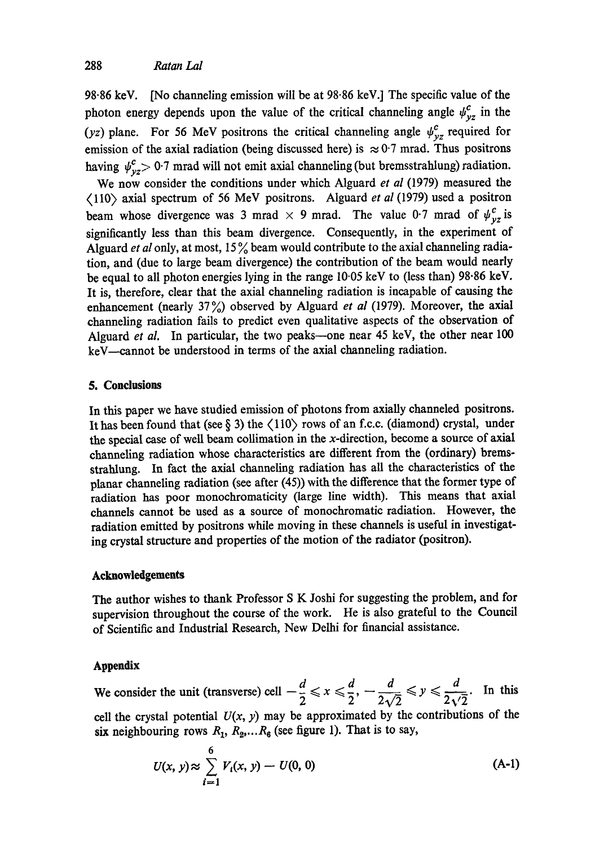98.86 keV. [No channeling emission will be at 98-86 keV.] The specific value of the photon energy depends upon the value of the critical channeling angle  $\psi_{yz}^c$  in the (yz) plane. For 56 MeV positrons the critical channeling angle  $\psi_{yz}^c$  required for emission of the axial radiation (being discussed here) is  $\approx 0.7$  mrad. Thus positrons having  $\psi_{yz}^c > 0.7$  mrad will not emit axial channeling (but bremsstrahlung) radiation.

We now consider the conditions under which Alguard *et al* (1979) measured the (110) axial spectrum of 56 MeV positrons. Alguard *et al* (1979) used a positron beam whose divergence was 3 mrad  $\times$  9 mrad. The value 0.7 mrad of  $\psi_{yz}^c$  is significantly less than this beam divergence. Consequently, in the experiment of Alguard *et al* only, at most,  $15\%$  beam would contribute to the axial channeling radiation, and (due to large beam divergence) the contribution of the beam would nearly be equal to all photon energies lying in the range 10.05 keV to (less than) 98.86 keV. It is, therefore, clear that the axial channeling radiation is incapable of causing the enhancement (nearly 37<sup>o</sup><sub>1</sub>) observed by Alguard *et al* (1979). Moreover, the axial channeling radiation fails to predict even qualitative aspects of the observation of Alguard *et al.* In particular, the two peaks--one near 45 keV, the other near 100 keV—cannot be understood in terms of the axial channeling radiation.

## **5. Conclusions**

In this paper we have studied emission of photons from axially channeled positrons. It has been found that (see  $\S$  3) the  $\langle 110 \rangle$  rows of an f.c.c. (diamond) crystal, under the special case of well beam collimation in the x-direction, become a source of axial channeling radiation whose characteristics are different from the (ordinary) bremsstrahlung. In fact the axial channeling radiation has all the characteristics of the planar channeling radiation (see after (45)) with the difference that the former type of radiation has poor monochromaticity (large line width). This means that axial channels cannot be used as a source of monochromatic radiation. However, the radiation emitted by positrons while moving in these channels is useful in investigating crystal structure and properties of the motion of the radiator (positron).

## **Acknowledgements**

The author wishes to thank Professor S K Joshi for suggesting the problem, and for supervision throughout the course of the work. He is also grateful to the Council of Scientific and Industrial Research, New Delhi for financial assistance.

## **Appendix**

We consider the unit (transverse) cell  $-\frac{d}{2} \le x \le \frac{d}{2}, -\frac{d}{2\sqrt{2}} \le y \le \frac{d}{2\sqrt{2}}$ . In this cell the crystal potential  $U(x, y)$  may be approximated by the contributions of the six neighbouring rows  $R_1, R_2, \ldots, R_6$  (see figure 1). That is to say,

$$
U(x, y) \approx \sum_{i=1}^{6} V_i(x, y) - U(0, 0)
$$
 (A-1)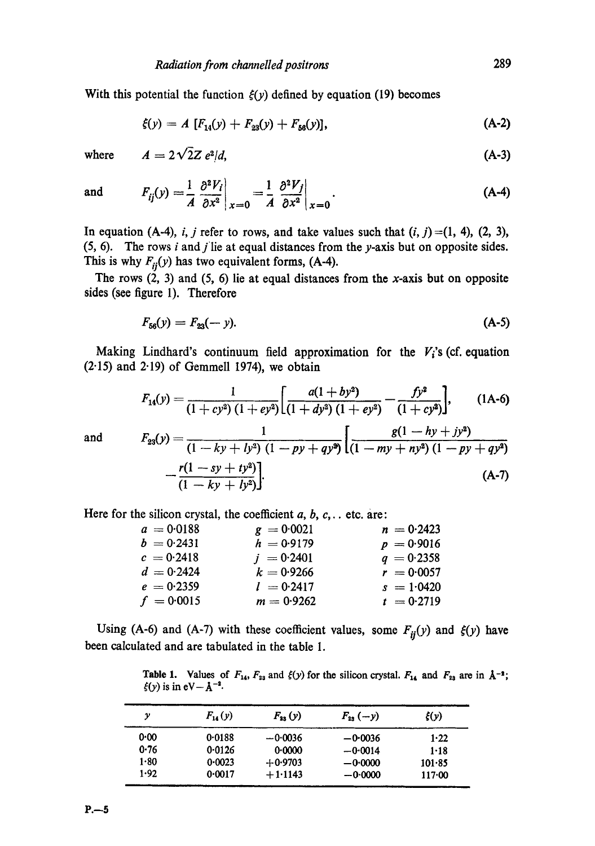With this potential the function  $\xi(y)$  defined by equation (19) becomes

$$
\xi(y) = A \left[ F_{14}(y) + F_{23}(y) + F_{56}(y) \right], \tag{A-2}
$$

where  $A = 2\sqrt{2}Z e^{2}/d$ , (A-3)

and 
$$
F_{ij}(y) = \frac{1}{A} \left. \frac{\partial^2 V_i}{\partial x^2} \right|_{x=0} = \frac{1}{A} \left. \frac{\partial^2 V_j}{\partial x^2} \right|_{x=0}.
$$
 (A-4)

In equation (A-4), i, j refer to rows, and take values such that  $(i, j) = (1, 4)$ ,  $(2, 3)$ ,  $(5, 6)$ . The rows *i* and *j* lie at equal distances from the *y*-axis but on opposite sides. This is why  $F_{ii}(y)$  has two equivalent forms, (A-4).

The rows  $(2, 3)$  and  $(5, 6)$  lie at equal distances from the x-axis but on opposite sides (see figure 1). Therefore

$$
F_{56}(y) = F_{23}(-y). \tag{A-5}
$$

Making Lindhard's continuum field approximation for the  $V_i$ 's (cf. equation  $(2.15)$  and  $2.19$ ) of Gemmell 1974), we obtain

$$
F_{14}(y) = \frac{1}{\left(1 + cy^2\right)\left(1 + ey^2\right)} \left[\frac{a(1 + by^2)}{\left(1 + dy^2\right)\left(1 + ey^2\right)} - \frac{fy^2}{\left(1 + cy^2\right)}\right],\qquad(1A-6)
$$

and

$$
F_{23}(y) = \frac{1}{(1 - ky + ly^2) (1 - py + qy^2)} \left[ \frac{g(1 - hy + jy^2)}{(1 - my + ny^2) (1 - py + qy^2)} - \frac{r(1 - sy + ty^2)}{(1 - ky + ly^2)} \right].
$$
\n(A-7)

Here for the silicon crystal, the coefficient  $a, b, c, \ldots$  etc. are:

| $a = 0.0188$ | $g = 0.0021$ | $n = 0.2423$ |
|--------------|--------------|--------------|
| $b = 0.2431$ | $h = 0.9179$ | $p = 0.9016$ |
| $c = 0.2418$ | $j = 0.2401$ | $q = 0.2358$ |
| $d = 0.2424$ | $k = 0.9266$ | $r = 0.0057$ |
| $e = 0.2359$ | $l = 0.2417$ | $s = 1.0420$ |
| $f = 0.0015$ | $m = 0.9262$ | $t = 0.2719$ |

Using (A-6) and (A-7) with these coefficient values, some  $F_{ij}(y)$  and  $\xi(y)$  have been calculated and are tabulated in the table 1.

**Table 1.** Values of  $F_{14}$ ,  $F_{23}$  and  $\xi(y)$  for the silicon crystal.  $F_{14}$  and  $F_{23}$  are in  $\dot{A}^{-2}$ ;  $\xi(y)$  is in  $eV-\text{\AA}^{-2}$ .

| у        | $F_{14}(y)$ | $F_{33}(y)$ | $F_{23}(-y)$ | $\xi(y)$ |
|----------|-------------|-------------|--------------|----------|
| 0.00     | 0.0188      | $-0.0036$   | $-0.0036$    | 1.22     |
| 0.76     | 0.0126      | 0.0000      | $-0.0014$    | $1 - 18$ |
| $1 - 80$ | 0.0023      | $+0.9703$   | $-0.0000$    | 101.85   |
| 1.92     | 0.0017      | $+1.1143$   | $-0.0000$    | 117.00   |